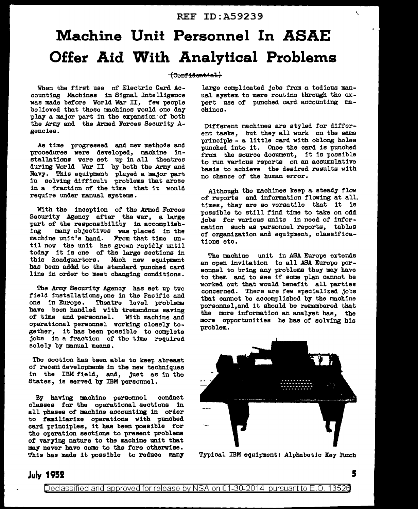#### REF ID:A59239

## **Machine Unit Personnel In ASAE Offer Aid With Analytical Problems**

#### $(Comf<sub>idential</sub>)$

When the first use of Electric Card Accounting Machines in Signal Intelligence was made before World War II, few people believed that these machines would one day play a major part in the expansion of both the Army and the Armed Forces Security Agencies.

As time progressed and new methods and procedures were developed, machine installations were set up in all theatres during World War II by both the Army and Navy. Thie equipment played a major part in solving difficult problems that arose in a fraction of the time that it would require under manual systems.

With the inception of the Armed Forces Security Agency after the war, a large part of the responsibility in accomplish-<br>ing many objectives was placed in the many objectives was placed in the machine unit's hand. From that time until now the unit has grown rapidly until today it is one of the large sections in this headquarters. Mich new equipment has been addsl to the standard punched card line in order to meet changing conditions.

The Army Security Agency has set up two field installations, one in the Pacific and<br>one in Europe. Theatre level problems Theatre level problems have been handled with tremendous saving<br>of time and personnel. With machine and of time and personnel. operational personnel working closely together, it has been possible to complete jobs in a fraction of the time required solely by manual means.

The section has been able to keep abreast of recent developments in the new techniques in the IBM field, and, just as in the States, is served by IBM personnel.

By having machine personnel conduct classes for the operational sections in all phases of machine accounting in order to familiarize operations with punched card principles, it has been possible for the operation sections to present problems of varying nature to the machine unit that may never have come to the fore otherwise. This has made it possible to reduce many

large complicated jobs from a tedious manual system to mere routine through the expert use of punched card accounting machines.

Different machines are styled for different tasks, but they all work on the same principle - a little card with oblong holes punched into it. Once the card is punched from the source document, it is possible to run various reports on an accumulative basis to achieve the desired results with no chance of the human error.

Although the machines keep a steady flow of reports and information flowing at all. times, they are so versatile that it is possible to still find time to take on odd jobs for various unite in need of information such as personnel reports, tables of organization and equipment, classifications etc.

The machine unit in ASA Europe extends an open invitation to all *ASA* Europe personnel to bring any problems they may have to them and to see if some plan cannot be worked out that would benefit all parties concerned. There are few specialized jobs that cannot be accomplished by the machine pereonnel,and it should be remembered that the more information an analyst has, the more opportunities he has of solving his problem.



Typical IBM equipment: Alphabetic Key Punch

#### **July 1952**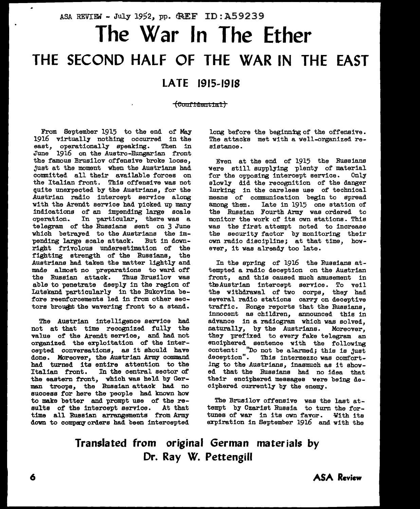# ASA REVIEW - July 1952, pp. GREF ID: A59239 **The War In The Ether THE SECOND HALF OF THE WAR IN THE EAST**

### **LATE 1915-1918**

~eouf1deut1ai)

From September 1915 to the end of May 1916 virtually nothing occurred in the east, operationally speaking. Then in east, operationally speaking. Then in June 1916 on the Austro-Hungarian front the famous Brueilov offensive broke loose, just at the moment when the Austrians had committed all their available forces on the Italian front. Thie offensive was not quite unexpected by the Austrians, for the Austrian radio intercept service along with the Arendt service had picked up many indications of an impending large scale operation. In particular, there was a telegram. of the Russians sent on 3 June which betrayed to the Austrians the impending large scale attack. But in downright frivolous underestimation of the fighting strength of the Russians, the Austrians had taken the matter lightly and made almost no preparations to ward off<br>the Russian attack. Thus Brusilov was the Russian attack. able to penetrate deeply in the region of Lutskand particularly in the Bukovina before reenforcements led in from other sectors brought the wavering front to a stand.

The Austrian intelligence service had not at that time recognized fully the value of the Arendt service, and bad not organized the exploitation of the intercepted conversations, as it should have done. Moreover, the Austrian Army command bad turned its entire attention to the Italian front. In the central sector of the eastern front, which was held by German troops, the Russian attack bad no success for here the people had known how to make better and prompt use of the re-<br>sults of the intercept service. At that sults of the intercept service. time all Russian arrangements from Army down to company orders had been intercepted

long before the beginning of the offensive. The attacks met with a well-organized resistance.

Even at the end of 1915 the Russians were still supplying plenty of material<br>for the opposing intercept service. Only for the opposing intercept service. slowly did the recognition of the danger lurking in the careless use of technical means of communication begin to spread<br>among them. Iate in 1915 one station of Late in 1915 one station of the Russian Fourth Army was ordered to monitor the work of its own stations. This was the first attempt noted to increase the security factor by monitoring their own radio discipline; at that time, however, it was already too late.

In the spring of 1916 the Russians attempted a radio deception on the Austrian front, and this caused much amusement in tbaAustrian intercept service. To veil the withdrawal of two corps, they had several radio stations carry on deceptive traffic. Ronge reports that the Russians, innocent as children, announced this in advance in a radiogram. which was solved, naturally, by the Austrians. Moreover, they prefixed to every fake telegram an enciphered sentence with the following content: ''Do not be alarmed; this is just deception". This intermezzo was comfortdeception". This intermezzo was comfort-<br>ing to the Austrians, inasmuch as it showed that the Russians had no idea that their enciphered messages were being deciphered currently by the enemy.

The Brusilov offensive was the last attempt by Czarist Russia to turn the fortunes of war in its own favor. With its expiration in September 1916 and with the

**Translated from original German materials by Dr. Ray W. Pettengill**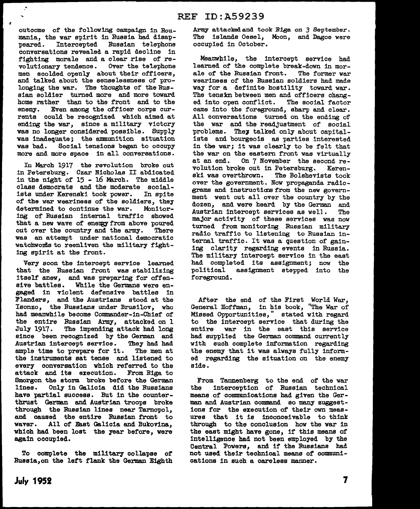outcome of the following campaign in Roumania, the war spirit in Russia had disap-<br>peared. Intercepted Russian telephone Russian telephone conversations revealed a rapid decline in fighting morale and a clear rise of revolutionary tendence. Over the tetephone men scolded openly about their officers, and talked about the senselessness of pro-<br>longing the war. The thoughts of the Ruslonging the war. The thoughts of the Rus-<br>sian soldier turned more and more toward home rather than to the front and to the enemy. Even among the officer corps currents could be recognized which aimed at ending the war, since a military victory was no longer considered possible. Supply was inadequate; the ammunition situation was bad. Social tensions began to occupy more and more space in all conversations.

 $\mathcal{L}^{\mathbf{N}}$ 

 $\overline{1}$ 

Iu March 1917 the revolution broke out in Petersburg. Czar Nicholas II abdicated in the night of 15 - 16 March. The middle class democrats and the moderate social-<br>ists under Kerenski took power. In spite ists under Kerenski took power. of the war weariness of the soldiers, they determined to continue the war. Monitoring of Russian internal traffic showed that a new wave of energy from above poured out over the country and the army. There was an attempt under national democratic watchwords to reenliven the military fighting spirit at the front.

Very soon the intercept service learned that the Russian front was stabilizing itself anew, and was preparing for offensive battles. While the Germane were engaged in violent defensive battles in Flanders, and the Austrians stood at the Isonzo, the Russians under Brusilov, who had meanwhile become Commander-in-Chief of the entire Russian Army, attacked on l July 1917. The impending attack had long since been recognized by the German and<br>Austrian intercept service. They had had Austrian intercept service. ample time to prepare for it. The men at the instruments sat tense and listened to every conversation which referred to the attack and its execution. From Riga to Smorgon the storm broke before the German<br>lines. Only in Galicia did the Russians Only in Galicia did the Russians have partial success. But in the counterthrust German and Austrian troops broke through the Russian lines near Tarnopol, and caused the entire Russian front to waver. All of East Galicia and Bukovina. which had been lost the year before, were again occupied.

To complete the military collapse of Russia,on the left flank the German Eighth Army attacked and took Riga on 3 September. The islands Oesel, Moon, and Dagoe were occupied in October.

Meanwhile, the intercept service had learned of the complete break-down in morale of the Russian front. The former war weariness of the Russian soldiers had made way for a definite hostility toward war. The tensin between men and officers changed into open conflict. The social factor came into the foreground, sharp and clear. All conversations turned on the ending of the war and the readjustment of social problems. They talked only about capitalists and bourgeois as parties interested in the war; it was clearly to be felt that the war on the eastern front was virtually<br>at an end. On 7 November the second re-On 7 November the second revolution broke out in Petersburg. Kerenski was overthrown. The Bolshevists took over the government. Now propaganda radiograms and instructions from the new government went out all over the country by the dozen, and were heard by the German and Austrian intercept services as well. The major activity of these services was now turned from monitoring Russian military radio traffic to listening to Russian internal traffic. It was a question of gaining clarity regarding events in Russia. The military intercept service in the east had completed its assignment; now the political assignment stepped into the foreground.

After the end of the First World War, General Hoffman, in hie book, "The War of Missed Opportunities," stated with regard to the intercept service that during the entire war in the east this service had supplied the German command currently with such complete information regarding the enemy that it was always fully informed regarding the situation on the enemy side.

From Tannenberg to the end of the war<br>the intercention of Russian technical interception of Russian technical means of communications had given the German and Austrian command so many suggestions for the execution of their own measures that it is inconceivable to think through to the conclusion how the war in the east might have gone, if this means of intelligence had not been employed by the Central Powers, and if the Russians had not used their technical means of communications in such a careless manner.